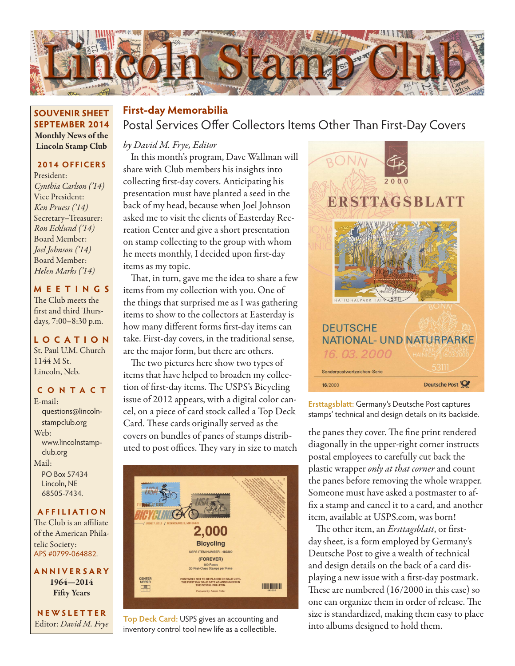

### **SOUVENIR SHEET SEPTEMBER 2014** Monthly News of the Lincoln Stamp Club

### **2014 OFFICERS**

President: *Cynthia Carlson ('14)* Vice President: *Ken Pruess ('14)* Secretary–Treasurer: *Ron Ecklund ('14)* Board Member: *Joel Johnson ('14)* Board Member: *Helen Marks ('14)*

#### **MEETINGS** The Club meets the first and third Thursdays, 7:00–8:30 p.m.

#### **LO C ATI O N** St. Paul U.M. Church 1144 M St. Lincoln, Neb.

#### **CONTACT**

E-mail: questions@lincolnstampclub.org Web: www.lincolnstampclub.org Mail: PO Box 57434 Lincoln, NE 68505-7434.

### **AFFI LIATI O N**

The Club is an affiliate of the American Philatelic Society: APS #0799-064882.

**ANNIVERSARY** 1964—2014 Fifty Years

**NEWSLETTER** Editor: *David M. Frye*

## Postal Services Offer Collectors Items Other Than First-Day Covers **First-day Memorabilia**

### *by David M. Frye, Editor*

In this month's program, Dave Wallman will share with Club members his insights into collecting first-day covers. Anticipating his presentation must have planted a seed in the back of my head, because when Joel Johnson asked me to visit the clients of Easterday Recreation Center and give a short presentation on stamp collecting to the group with whom he meets monthly, I decided upon first-day items as my topic.

That, in turn, gave me the idea to share a few items from my collection with you. One of the things that surprised me as I was gathering items to show to the collectors at Easterday is how many different forms first-day items can take. First-day covers, in the traditional sense, are the major form, but there are others.

The two pictures here show two types of items that have helped to broaden my collection of first-day items. The USPS's Bicycling issue of 2012 appears, with a digital color cancel, on a piece of card stock called a Top Deck Card. These cards originally served as the covers on bundles of panes of stamps distributed to post offices. They vary in size to match



into albums designed to hold them. **Top Deck Card:** USPS gives an accounting and inventory control tool new life as a collectible.



**Ersttagsblatt:** Germany's Deutsche Post captures stamps' technical and design details on its backside.

the panes they cover. The fine print rendered diagonally in the upper-right corner instructs postal employees to carefully cut back the plastic wrapper *only at that corner* and count the panes before removing the whole wrapper. Someone must have asked a postmaster to affix a stamp and cancel it to a card, and another item, available at USPS.com, was born!

The other item, an *Ersttagsblatt*, or firstday sheet, is a form employed by Germany's Deutsche Post to give a wealth of technical and design details on the back of a card displaying a new issue with a first-day postmark. These are numbered (16/2000 in this case) so one can organize them in order of release. The size is standardized, making them easy to place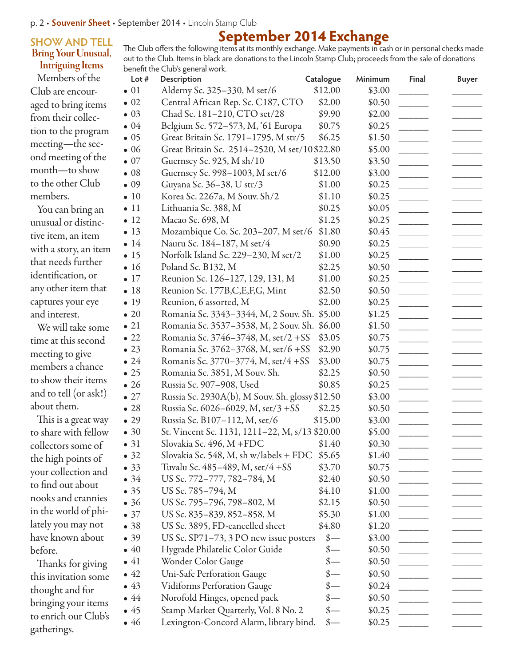### **SHOW AND TELL** Bring Your Unusual, Intriguing Items

# **September 2014 Exchange**

The Club offers the following items at its monthly exchange. Make payments in cash or in personal checks made out to the Club. Items in black are donations to the Lincoln Stamp Club; proceeds from the sale of donations benefit the Club's general work.

Members of the Club are encouraged to bring items from their collection to the program meeting—the second meeting of the month—to show to the other Club members.

You can bring an unusual or distinctive item, an item with a story, an item that needs further identification, or any other item that captures your eye and interest.

We will take some time at this second meeting to give members a chance to show their items and to tell (or ask!) about them.

This is a great way to share with fellow collectors some of the high points of your collection and to find out about nooks and crannies in the world of philately you may not have known about before.

Thanks for giving this invitation some thought and for bringing your items to enrich our Club's gatherings.

| Lot $#$      | Description                                     | Catalogue                   | Minimum | Final         | <b>Buyer</b> |
|--------------|-------------------------------------------------|-----------------------------|---------|---------------|--------------|
| $\bullet$ 01 | Alderny Sc. 325–330, M set/6                    | \$12.00                     | \$3.00  |               |              |
| $\bullet$ 02 | Central African Rep. Sc. C187, CTO              | \$2.00                      | \$0.50  |               |              |
| $\bullet$ 03 | Chad Sc. 181-210, CTO set/28                    | \$9.90                      | \$2.00  |               |              |
| $\bullet$ 04 | Belgium Sc. 572-573, M, '61 Europa              | \$0.75                      | \$0.25  |               |              |
| $\bullet$ 05 | Great Britain Sc. 1791-1795, M str/5            | \$6.25                      | \$1.50  |               |              |
| $\bullet$ 06 | Great Britain Sc. 2514-2520, M set/10\$22.80    |                             | \$5.00  |               |              |
| $\bullet$ 07 | Guernsey Sc. 925, M sh/10                       | \$13.50                     | \$3.50  |               |              |
| $\bullet$ 08 | Guernsey Sc. 998-1003, M set/6                  | \$12.00                     | \$3.00  |               |              |
| $\bullet$ 09 | Guyana Sc. 36-38, U str/3                       | \$1.00                      | \$0.25  |               |              |
| $\bullet$ 10 | Korea Sc. 2267a, M Souv. Sh/2                   | \$1.10                      | \$0.25  |               |              |
| $\bullet$ 11 | Lithuania Sc. 388, M                            | \$0.25                      | \$0.05  |               |              |
| $\bullet$ 12 | Macao Sc. 698, M                                | \$1.25                      | \$0.25  |               |              |
| $\bullet$ 13 | Mozambique Co. Sc. 203-207, M set/6             | \$1.80                      | \$0.45  |               |              |
| $\bullet$ 14 | Nauru Sc. 184-187, M set/4                      | \$0.90                      | \$0.25  |               |              |
| $\bullet$ 15 | Norfolk Island Sc. 229–230, M set/2             | \$1.00                      | \$0.25  |               |              |
| $\bullet$ 16 | Poland Sc. B132, M                              | \$2.25                      | \$0.50  |               |              |
| $\bullet$ 17 | Reunion Sc. 126-127, 129, 131, M                | \$1.00                      | \$0.25  |               |              |
| •18          | Reunion Sc. 177B, C, E, F, G, Mint              | \$2.50                      | \$0.50  |               |              |
| $\bullet$ 19 | Reunion, 6 assorted, M                          | \$2.00                      | \$0.25  |               |              |
| $\bullet$ 20 | Romania Sc. 3343–3344, M, 2 Souv. Sh.           | \$5.00                      | \$1.25  |               |              |
| $\bullet$ 21 | Romania Sc. 3537-3538, M, 2 Souv. Sh. \$6.00    |                             | \$1.50  |               |              |
| $\bullet$ 22 | Romania Sc. 3746-3748, M, set/2 + SS            | \$3.05                      | \$0.75  |               |              |
| $\bullet$ 23 | Romania Sc. 3762–3768, M, set/6 + SS            | \$2.90                      | \$0.75  |               |              |
| $\bullet$ 24 | Romanis Sc. 3770–3774, M, set/4 + SS            | \$3.00                      | \$0.75  |               |              |
| $\bullet$ 25 | Romania Sc. 3851, M Souv. Sh.                   | \$2.25                      | \$0.50  |               |              |
| $\bullet$ 26 | Russia Sc. 907-908, Used                        | \$0.85                      | \$0.25  |               |              |
| $\bullet$ 27 | Russia Sc. 2930A(b), M Souv. Sh. glossy \$12.50 |                             | \$3.00  |               |              |
| •28          | Russia Sc. 6026-6029, M, set/3 +SS              | \$2.25                      | \$0.50  |               |              |
| $\bullet$ 29 | Russia Sc. B107-112, M, set/6                   | \$15.00                     | \$3.00  |               |              |
| $\bullet$ 30 | St. Vincent Sc. 1131, 1211–22, M, s/13 \$20.00  |                             | \$5.00  |               |              |
| • 31         | Slovakia Sc. 496, M +FDC                        | \$1.40                      | \$0.30  |               |              |
| $\bullet$ 32 | Slovakia Sc. 548, M, sh w/labels + FDC \$5.65   |                             | \$1.40  |               |              |
| • 33         | Tuvalu Sc. 485-489, M, set/4 + SS               | \$3.70                      | \$0.75  |               |              |
| $\bullet$ 34 | US Sc. 772-777, 782-784, M                      | \$2.40                      | \$0.50  |               |              |
| • 35         | US Sc. 785–794, M                               | \$4.10                      | \$1.00  |               |              |
| •36          | US Sc. 795-796, 798-802, M                      | \$2.15                      | \$0.50  |               |              |
| $\bullet$ 37 | US Sc. 835-839, 852-858, M                      | \$5.30                      | \$1.00  |               |              |
| •38          | US Sc. 3895, FD-cancelled sheet                 | \$4.80                      | \$1.20  |               |              |
| • 39         | US Sc. SP71-73, 3 PO new issue posters          | $\frac{\ }{s-}$             | \$3.00  |               |              |
| $\bullet$ 40 | Hygrade Philatelic Color Guide                  | $\frac{\text{I}}{\text{I}}$ | \$0.50  |               |              |
| $\bullet$ 41 | Wonder Color Gauge                              | $\frac{\ }{s-}$             | \$0.50  |               |              |
| $\bullet$ 42 | Uni-Safe Perforation Gauge                      | $\frac{\text{I}}{\text{I}}$ | \$0.50  | $\frac{1}{2}$ |              |
| $\bullet$ 43 | <b>Vidiforms Perforation Gauge</b>              | $\frac{\text{I}}{\text{I}}$ | \$0.24  |               |              |
| $\bullet$ 44 | Norofold Hinges, opened pack                    | $\frac{\text{I}}{\text{I}}$ | \$0.50  |               |              |
| $\bullet$ 45 | Stamp Market Quarterly, Vol. 8 No. 2            | $\frac{\text{I}}{\text{I}}$ | \$0.25  |               |              |
| $\bullet$ 46 | Lexington-Concord Alarm, library bind.          | $\frac{\text{I}}{\text{I}}$ | \$0.25  |               |              |
|              |                                                 |                             |         |               |              |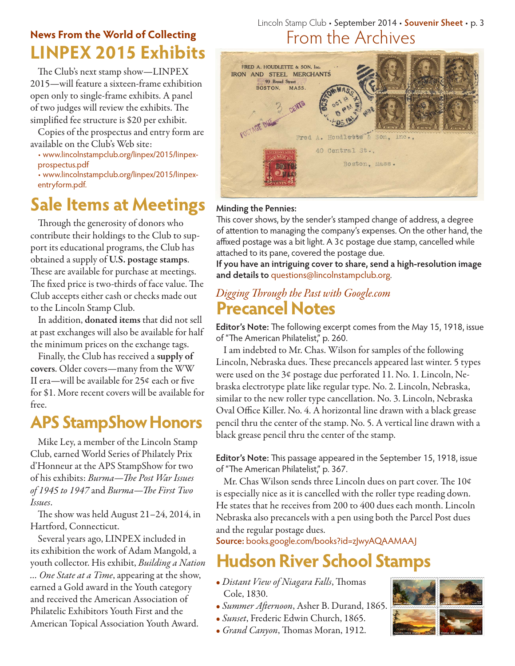## **LINPEX 2015 Exhibits News From the World of Collecting**

The Club's next stamp show—LINPEX 2015—will feature a sixteen-frame exhibition open only to single-frame exhibits. A panel of two judges will review the exhibits. The simplified fee structure is \$20 per exhibit.

Copies of the prospectus and entry form are available on the Club's Web site:

• www.lincolnstampclub.org/linpex/2015/linpexprospectus.pdf

• www.lincolnstampclub.org/linpex/2015/linpexentryform.pdf.

## **Sale Items at Meetings**

Through the generosity of donors who contribute their holdings to the Club to support its educational programs, the Club has obtained a supply of U.S. postage stamps. These are available for purchase at meetings. The fixed price is two-thirds of face value. The Club accepts either cash or checks made out to the Lincoln Stamp Club.

In addition, donated items that did not sell at past exchanges will also be available for half the minimum prices on the exchange tags.

Finally, the Club has received a supply of covers. Older covers—many from the WW II era—will be available for 25¢ each or five for \$1. More recent covers will be available for free.

## **APS StampShow Honors**

Mike Ley, a member of the Lincoln Stamp Club, earned World Series of Philately Prix d'Honneur at the APS StampShow for two of his exhibits: *Burma—The Post War Issues of 1945 to 1947* and *Burma—The First Two Issues*.

The show was held August 21–24, 2014, in Hartford, Connecticut.

Several years ago, LINPEX included in its exhibition the work of Adam Mangold, a youth collector. His exhibit, *Building a Nation … One State at a Time*, appearing at the show, earned a Gold award in the Youth category and received the American Association of Philatelic Exhibitors Youth First and the American Topical Association Youth Award.

## Lincoln Stamp Club • September 2014 • **Souvenir Sheet** • p. 3 From the Archives



### **Minding the Pennies:**

This cover shows, by the sender's stamped change of address, a degree of attention to managing the company's expenses. On the other hand, the affixed postage was a bit light. A 3¢ postage due stamp, cancelled while attached to its pane, covered the postage due.

**If you have an intriguing cover to share, send a high-resolution image and details to** questions@lincolnstampclub.org.

## **Precancel Notes** *Digging Through the Past with Google.com*

**Editor's Note:** The following excerpt comes from the May 15, 1918, issue of "The American Philatelist," p. 260.

I am indebted to Mr. Chas. Wilson for samples of the following Lincoln, Nebraska dues. These precancels appeared last winter. 5 types were used on the 3¢ postage due perforated 11. No. 1. Lincoln, Nebraska electrotype plate like regular type. No. 2. Lincoln, Nebraska, similar to the new roller type cancellation. No. 3. Lincoln, Nebraska Oval Office Killer. No. 4. A horizontal line drawn with a black grease pencil thru the center of the stamp. No. 5. A vertical line drawn with a black grease pencil thru the center of the stamp.

**Editor's Note:** This passage appeared in the September 15, 1918, issue of "The American Philatelist," p. 367.

Mr. Chas Wilson sends three Lincoln dues on part cover. The 10¢ is especially nice as it is cancelled with the roller type reading down. He states that he receives from 200 to 400 dues each month. Lincoln Nebraska also precancels with a pen using both the Parcel Post dues and the regular postage dues.

**Source:** books.google.com/books?id=zJwyAQAAMAAJ

## **Hudson River School Stamps**

- *Distant View of Niagara Falls*, Thomas Cole, 1830.
- *Summer Afternoon*, Asher B. Durand, 1865.
- *Sunset*, Frederic Edwin Church, 1865.
- *Grand Canyon*, Thomas Moran, 1912.